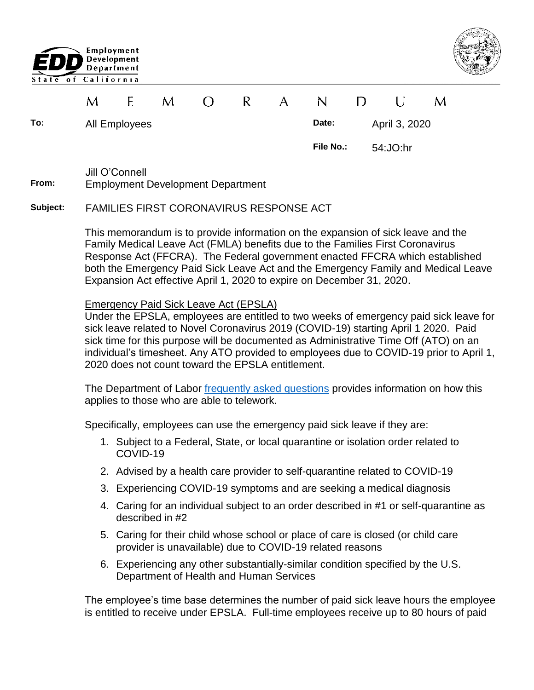



|          | M                                                                                                                                                                                                                                                                                                                                                                                                                                                                                                                                                                                                         | E             | M | $\left( \ \right)$ | R.                                      | $\mathsf{A}$ | N                                                                                                                                            | D |  | U             | M |  |
|----------|-----------------------------------------------------------------------------------------------------------------------------------------------------------------------------------------------------------------------------------------------------------------------------------------------------------------------------------------------------------------------------------------------------------------------------------------------------------------------------------------------------------------------------------------------------------------------------------------------------------|---------------|---|--------------------|-----------------------------------------|--------------|----------------------------------------------------------------------------------------------------------------------------------------------|---|--|---------------|---|--|
| To:      |                                                                                                                                                                                                                                                                                                                                                                                                                                                                                                                                                                                                           | All Employees |   |                    |                                         |              | Date:                                                                                                                                        |   |  | April 3, 2020 |   |  |
|          |                                                                                                                                                                                                                                                                                                                                                                                                                                                                                                                                                                                                           |               |   |                    |                                         |              | File No.:                                                                                                                                    |   |  | 54: JO:hr     |   |  |
| From:    | Jill O'Connell<br><b>Employment Development Department</b>                                                                                                                                                                                                                                                                                                                                                                                                                                                                                                                                                |               |   |                    |                                         |              |                                                                                                                                              |   |  |               |   |  |
| Subject: | <b>FAMILIES FIRST CORONAVIRUS RESPONSE ACT</b>                                                                                                                                                                                                                                                                                                                                                                                                                                                                                                                                                            |               |   |                    |                                         |              |                                                                                                                                              |   |  |               |   |  |
|          | This memorandum is to provide information on the expansion of sick leave and the<br>Family Medical Leave Act (FMLA) benefits due to the Families First Coronavirus<br>Response Act (FFCRA). The Federal government enacted FFCRA which established<br>both the Emergency Paid Sick Leave Act and the Emergency Family and Medical Leave<br>Expansion Act effective April 1, 2020 to expire on December 31, 2020.                                                                                                                                                                                          |               |   |                    |                                         |              |                                                                                                                                              |   |  |               |   |  |
|          | <b>Emergency Paid Sick Leave Act (EPSLA)</b><br>Under the EPSLA, employees are entitled to two weeks of emergency paid sick leave for<br>sick leave related to Novel Coronavirus 2019 (COVID-19) starting April 1 2020. Paid<br>sick time for this purpose will be documented as Administrative Time Off (ATO) on an<br>individual's timesheet. Any ATO provided to employees due to COVID-19 prior to April 1,<br>2020 does not count toward the EPSLA entitlement.<br>The Department of Labor frequently asked questions provides information on how this<br>applies to those who are able to telework. |               |   |                    |                                         |              |                                                                                                                                              |   |  |               |   |  |
|          | Specifically, employees can use the emergency paid sick leave if they are:                                                                                                                                                                                                                                                                                                                                                                                                                                                                                                                                |               |   |                    |                                         |              |                                                                                                                                              |   |  |               |   |  |
|          | 1. Subject to a Federal, State, or local quarantine or isolation order related to<br>COVID-19                                                                                                                                                                                                                                                                                                                                                                                                                                                                                                             |               |   |                    |                                         |              |                                                                                                                                              |   |  |               |   |  |
|          |                                                                                                                                                                                                                                                                                                                                                                                                                                                                                                                                                                                                           |               |   |                    |                                         |              | 2. Advised by a health care provider to self-quarantine related to COVID-19                                                                  |   |  |               |   |  |
|          | 3. Experiencing COVID-19 symptoms and are seeking a medical diagnosis<br>4. Caring for an individual subject to an order described in #1 or self-quarantine as<br>described in #2                                                                                                                                                                                                                                                                                                                                                                                                                         |               |   |                    |                                         |              |                                                                                                                                              |   |  |               |   |  |
|          |                                                                                                                                                                                                                                                                                                                                                                                                                                                                                                                                                                                                           |               |   |                    |                                         |              |                                                                                                                                              |   |  |               |   |  |
|          |                                                                                                                                                                                                                                                                                                                                                                                                                                                                                                                                                                                                           |               |   |                    |                                         |              | 5. Caring for their child whose school or place of care is closed (or child care<br>provider is unavailable) due to COVID-19 related reasons |   |  |               |   |  |
|          |                                                                                                                                                                                                                                                                                                                                                                                                                                                                                                                                                                                                           |               |   |                    | Department of Health and Human Services |              | 6. Experiencing any other substantially-similar condition specified by the U.S.                                                              |   |  |               |   |  |
|          | The employee's time base determines the number of paid sick leave hours the employee<br>is entitled to receive under EPSLA. Full-time employees receive up to 80 hours of paid                                                                                                                                                                                                                                                                                                                                                                                                                            |               |   |                    |                                         |              |                                                                                                                                              |   |  |               |   |  |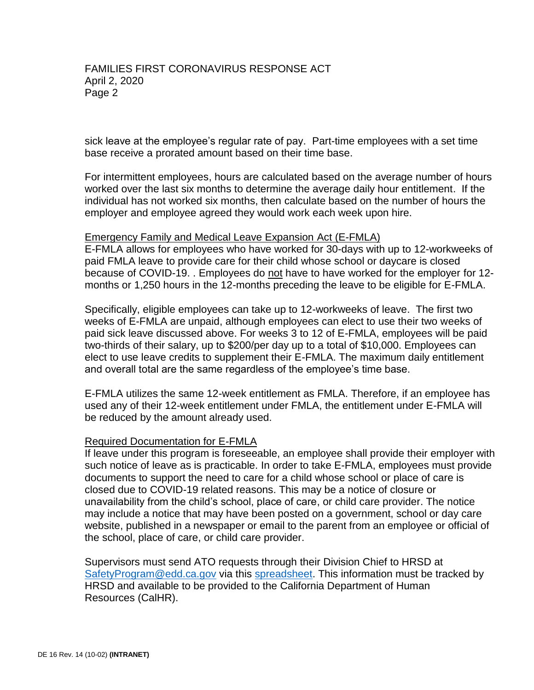sick leave at the employee's regular rate of pay. Part-time employees with a set time base receive a prorated amount based on their time base.

For intermittent employees, hours are calculated based on the average number of hours worked over the last six months to determine the average daily hour entitlement. If the individual has not worked six months, then calculate based on the number of hours the employer and employee agreed they would work each week upon hire.

## Emergency Family and Medical Leave Expansion Act (E-FMLA)

E-FMLA allows for employees who have worked for 30-days with up to 12-workweeks of paid FMLA leave to provide care for their child whose school or daycare is closed because of COVID-19. . Employees do not have to have worked for the employer for 12 months or 1,250 hours in the 12-months preceding the leave to be eligible for E-FMLA.

Specifically, eligible employees can take up to 12-workweeks of leave. The first two weeks of E-FMLA are unpaid, although employees can elect to use their two weeks of paid sick leave discussed above. For weeks 3 to 12 of E-FMLA, employees will be paid two-thirds of their salary, up to \$200/per day up to a total of \$10,000. Employees can elect to use leave credits to supplement their E-FMLA. The maximum daily entitlement and overall total are the same regardless of the employee's time base.

E-FMLA utilizes the same 12-week entitlement as FMLA. Therefore, if an employee has used any of their 12-week entitlement under FMLA, the entitlement under E-FMLA will be reduced by the amount already used.

## Required Documentation for E-FMLA

If leave under this program is foreseeable, an employee shall provide their employer with such notice of leave as is practicable. In order to take E-FMLA, employees must provide documents to support the need to care for a child whose school or place of care is closed due to COVID-19 related reasons. This may be a notice of closure or unavailability from the child's school, place of care, or child care provider. The notice may include a notice that may have been posted on a government, school or day care website, published in a newspaper or email to the parent from an employee or official of the school, place of care, or child care provider.

Supervisors must send ATO requests through their Division Chief to HRSD at [SafetyProgram@edd.ca.gov](mailto:SafetyProgram@edd.ca.gov) via this [spreadsheet.](https://eddnet/Services/admin/hrsdmemos/HealthSafetyMemos/BlankATOTracker.xlsx) This information must be tracked by HRSD and available to be provided to the California Department of Human Resources (CalHR).